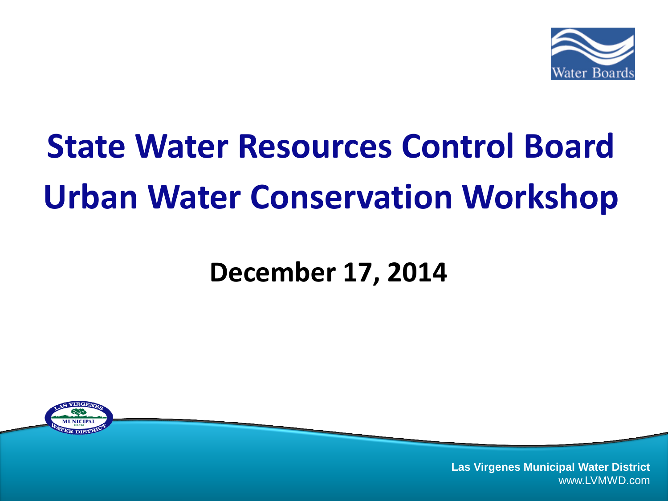

# **State Water Resources Control Board Urban Water Conservation Workshop**

#### **December 17, 2014**

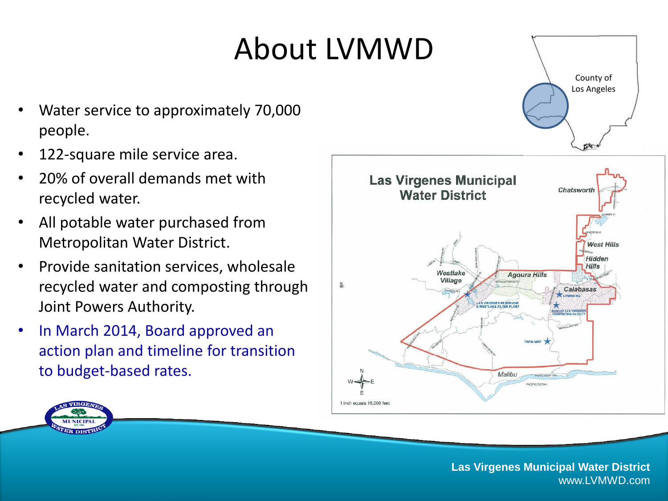### About LVMWD

- Water service to approximately 70,000 people.
- 122-square mile service area.
- 20% of overall demands met with recycled water.
- All potable water purchased from Metropolitan Water District.
- Provide sanitation services, wholesale recycled water and composting through Joint Powers Authority.
- In March 2014, Board approved an action plan and timeline for transition to budget-based rates.





**Las Virgenes Municipal Water District** www.LVMWD.com

County of Los Angeles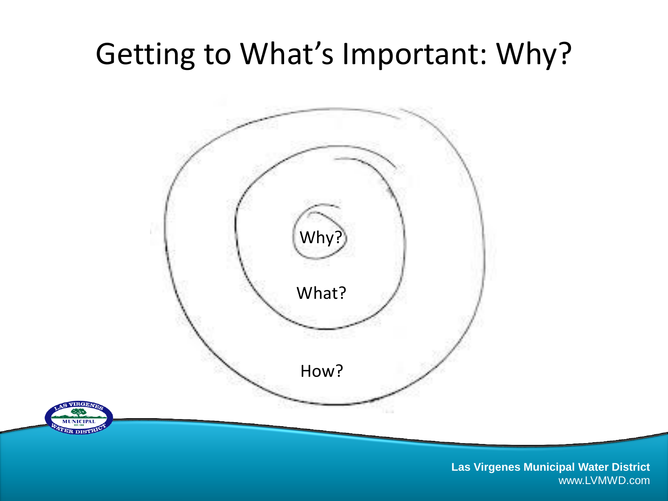### Getting to What's Important: Why?

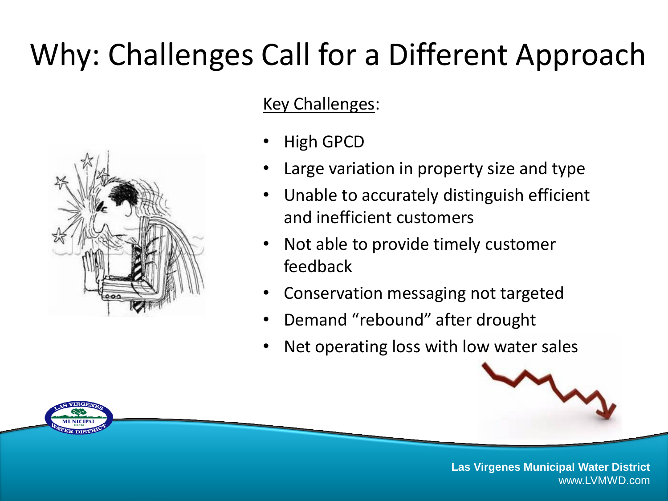## Why: Challenges Call for a Different Approach



- High GPCD
- Large variation in property size and type
- Unable to accurately distinguish efficient and inefficient customers
- Not able to provide timely customer feedback
- Conservation messaging not targeted
- Demand "rebound" after drought
- Net operating loss with low water sales





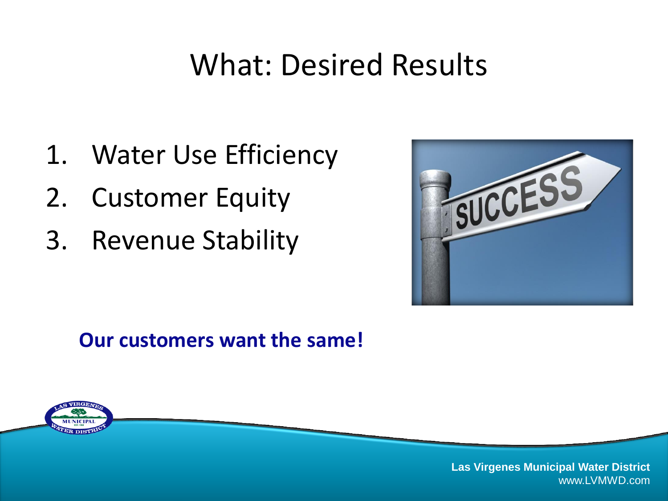### What: Desired Results

- 1. Water Use Efficiency
- 2. Customer Equity
- 3. Revenue Stability



#### **Our customers want the same!**

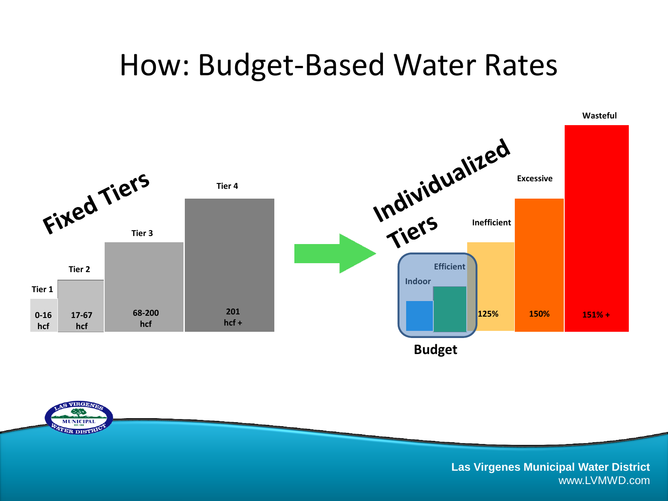#### How: Budget-Based Water Rates



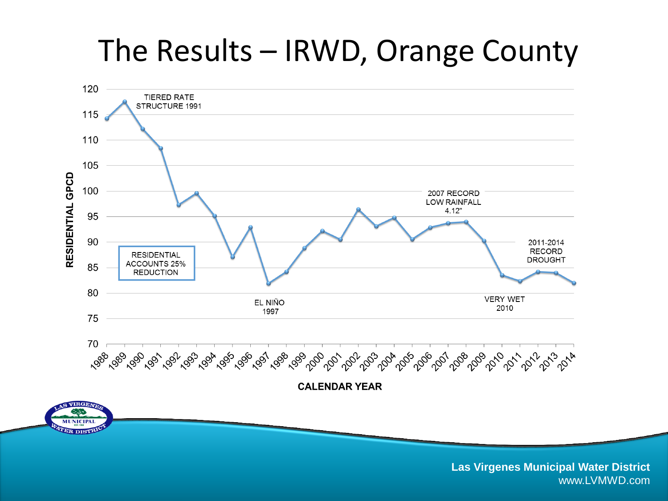### The Results – IRWD, Orange County

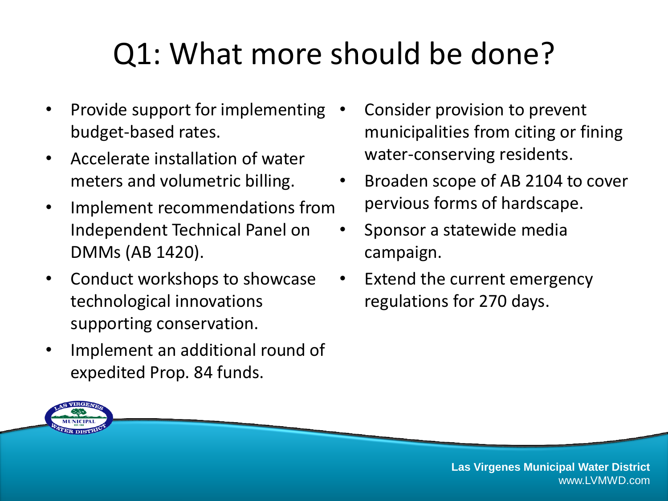## Q1: What more should be done?

- Provide support for implementing budget-based rates.
- Accelerate installation of water meters and volumetric billing.
- Implement recommendations from Independent Technical Panel on DMMs (AB 1420).
- Conduct workshops to showcase technological innovations supporting conservation.
- Implement an additional round of expedited Prop. 84 funds.
- Consider provision to prevent municipalities from citing or fining water-conserving residents.
- Broaden scope of AB 2104 to cover pervious forms of hardscape.
- Sponsor a statewide media campaign.
- Extend the current emergency regulations for 270 days.

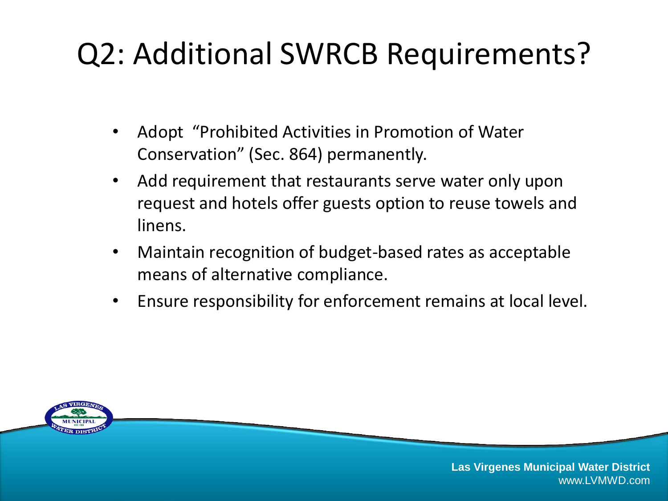### Q2: Additional SWRCB Requirements?

- Adopt "Prohibited Activities in Promotion of Water Conservation" (Sec. 864) permanently.
- Add requirement that restaurants serve water only upon request and hotels offer guests option to reuse towels and linens.
- Maintain recognition of budget-based rates as acceptable means of alternative compliance.
- Ensure responsibility for enforcement remains at local level.

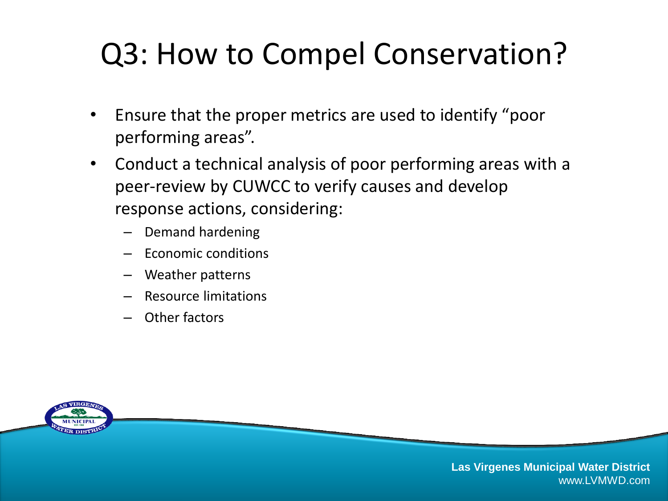### Q3: How to Compel Conservation?

- Ensure that the proper metrics are used to identify "poor performing areas".
- Conduct a technical analysis of poor performing areas with a peer-review by CUWCC to verify causes and develop response actions, considering:
	- Demand hardening
	- Economic conditions
	- Weather patterns
	- Resource limitations
	- Other factors

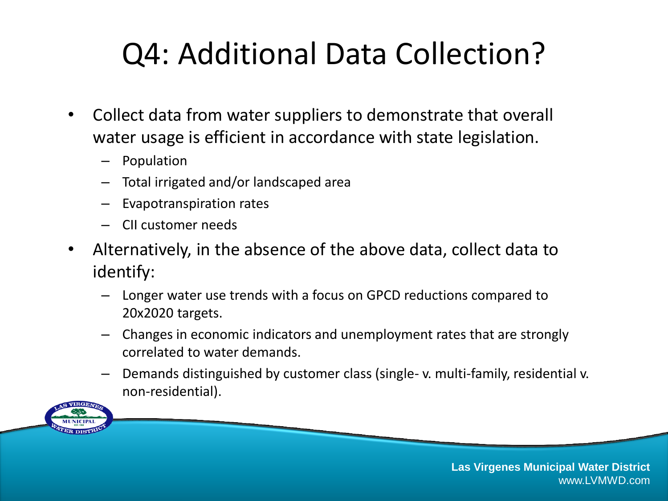### Q4: Additional Data Collection?

- Collect data from water suppliers to demonstrate that overall water usage is efficient in accordance with state legislation.
	- Population
	- Total irrigated and/or landscaped area
	- Evapotranspiration rates
	- CII customer needs
- Alternatively, in the absence of the above data, collect data to identify:
	- Longer water use trends with a focus on GPCD reductions compared to 20x2020 targets.
	- Changes in economic indicators and unemployment rates that are strongly correlated to water demands.
	- Demands distinguished by customer class (single- v. multi-family, residential v. non-residential).